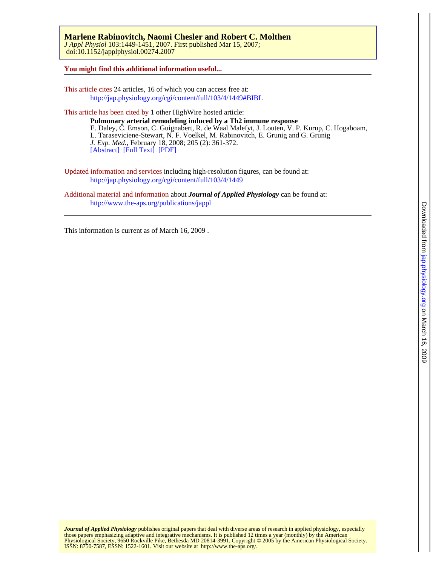doi:10.1152/japplphysiol.00274.2007 *J Appl Physiol* 103:1449-1451, 2007. First published Mar 15, 2007; **Marlene Rabinovitch, Naomi Chesler and Robert C. Molthen** 

**You might find this additional information useful...**

This article cites 24 articles, 16 of which you can access free at: <http://jap.physiology.org/cgi/content/full/103/4/1449#BIBL>

This article has been cited by 1 other HighWire hosted article: [\[Abstract\]](http://jem.rupress.org/cgi/content/abstract/205/2/361) [\[Full Text\]](http://jem.rupress.org/cgi/content/full/205/2/361) [\[PDF\]](http://jem.rupress.org/cgi/reprint/205/2/361) *J. Exp. Med.*, February 18, 2008; 205 (2): 361-372. L. Taraseviciene-Stewart, N. F. Voelkel, M. Rabinovitch, E. Grunig and G. Grunig E. Daley, C. Emson, C. Guignabert, R. de Waal Malefyt, J. Louten, V. P. Kurup, C. Hogaboam, **Pulmonary arterial remodeling induced by a Th2 immune response**

Updated information and services including high-resolution figures, can be found at: <http://jap.physiology.org/cgi/content/full/103/4/1449>

Additional material and information about *Journal of Applied Physiology* can be found at: <http://www.the-aps.org/publications/jappl>

This information is current as of March 16, 2009 .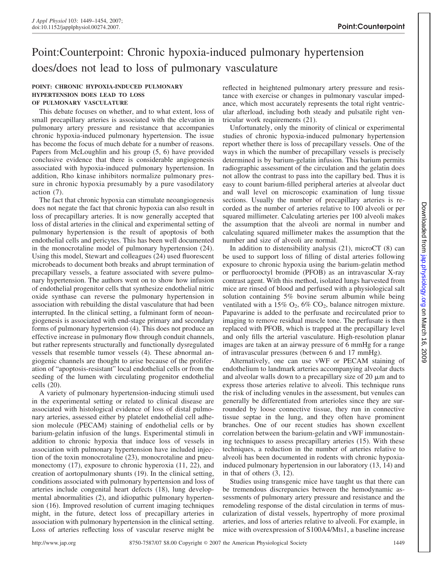# Point:Counterpoint: Chronic hypoxia-induced pulmonary hypertension does/does not lead to loss of pulmonary vasculature

## **POINT: CHRONIC HYPOXIA-INDUCED PULMONARY HYPERTENSION DOES LEAD TO LOSS OF PULMONARY VASCULATURE**

This debate focuses on whether, and to what extent, loss of small precapillary arteries is associated with the elevation in pulmonary artery pressure and resistance that accompanies chronic hypoxia-induced pulmonary hypertension. The issue has become the focus of much debate for a number of reasons. Papers from McLoughlin and his group (5, 6) have provided conclusive evidence that there is considerable angiogenesis associated with hypoxia-induced pulmonary hypertension. In addition, Rho kinase inhibitors normalize pulmonary pressure in chronic hypoxia presumably by a pure vasodilatory action (7).

The fact that chronic hypoxia can stimulate neoangiogenesis does not negate the fact that chronic hypoxia can also result in loss of precapillary arteries. It is now generally accepted that loss of distal arteries in the clinical and experimental setting of pulmonary hypertension is the result of apoptosis of both endothelial cells and pericytes. This has been well documented in the monocrotaline model of pulmonary hypertension (24). Using this model, Stewart and colleagues (24) used fluorescent microbeads to document both breaks and abrupt termination of precapillary vessels, a feature associated with severe pulmonary hypertension. The authors went on to show how infusion of endothelial progenitor cells that synthesize endothelial nitric oxide synthase can reverse the pulmonary hypertension in association with rebuilding the distal vasculature that had been interrupted. In the clinical setting, a fulminant form of neoangiogenesis is associated with end-stage primary and secondary forms of pulmonary hypertension (4). This does not produce an effective increase in pulmonary flow through conduit channels, but rather represents structurally and functionally dysregulated vessels that resemble tumor vessels (4). These abnormal angiogenic channels are thought to arise because of the proliferation of "apoptosis-resistant" local endothelial cells or from the seeding of the lumen with circulating progenitor endothelial cells (20).

A variety of pulmonary hypertension-inducing stimuli used in the experimental setting or related to clinical disease are associated with histological evidence of loss of distal pulmonary arteries, assessed either by platelet endothelial cell adhesion molecule (PECAM) staining of endothelial cells or by barium-gelatin infusion of the lungs. Experimental stimuli in addition to chronic hypoxia that induce loss of vessels in association with pulmonary hypertension have included injection of the toxin monocrotaline (23), monocrotaline and pneumonectomy (17), exposure to chronic hyperoxia (11, 22), and creation of aortopulmonary shunts (19). In the clinical setting, conditions associated with pulmonary hypertension and loss of arteries include congenital heart defects (18), lung developmental abnormalities (2), and idiopathic pulmonary hypertension (16). Improved resolution of current imaging techniques might, in the future, detect loss of precapillary arteries in association with pulmonary hypertension in the clinical setting. Loss of arteries reflecting loss of vascular reserve might be reflected in heightened pulmonary artery pressure and resistance with exercise or changes in pulmonary vascular impedance, which most accurately represents the total right ventricular afterload, including both steady and pulsatile right ventricular work requirements (21).

Unfortunately, only the minority of clinical or experimental studies of chronic hypoxia-induced pulmonary hypertension report whether there is loss of precapillary vessels. One of the ways in which the number of precapillary vessels is precisely determined is by barium-gelatin infusion. This barium permits radiographic assessment of the circulation and the gelatin does not allow the contrast to pass into the capillary bed. Thus it is easy to count barium-filled peripheral arteries at alveolar duct and wall level on microscopic examination of lung tissue sections. Usually the number of precapillary arteries is recorded as the number of arteries relative to 100 alveoli or per squared millimeter. Calculating arteries per 100 alveoli makes the assumption that the alveoli are normal in number and calculating squared millimeter makes the assumption that the number and size of alveoli are normal.

In addition to distensibility analysis  $(21)$ , microCT  $(8)$  can be used to support loss of filling of distal arteries following exposure to chronic hypoxia using the barium-gelatin method or perfluorooctyl bromide (PFOB) as an intravascular X-ray contrast agent. With this method, isolated lungs harvested from mice are rinsed of blood and perfused with a physiological salt solution containing 5% bovine serum albumin while being ventilated with a 15%  $O_2$ , 6%  $CO_2$ , balance nitrogen mixture. Papavarine is added to the perfusate and recirculated prior to imaging to remove residual muscle tone. The perfusate is then replaced with PFOB, which is trapped at the precapillary level and only fills the arterial vasculature. High-resolution planar images are taken at an airway pressure of 6 mmHg for a range of intravascular pressures (between 6 and 17 mmHg).

Alternatively, one can use vWF or PECAM staining of endothelium to landmark arteries accompanying alveolar ducts and alveolar walls down to a precapillary size of 20  $\mu$ m and to express those arteries relative to alveoli. This technique runs the risk of including venules in the assessment, but venules can generally be differentiated from arterioles since they are surrounded by loose connective tissue, they run in connective tissue septae in the lung, and they often have prominent branches. One of our recent studies has shown excellent correlation between the barium-gelatin and vWF immunostaining techniques to assess precapillary arteries (15). With these techniques, a reduction in the number of arteries relative to alveoli has been documented in rodents with chronic hypoxiainduced pulmonary hypertension in our laboratory (13, 14) and in that of others (3, 12).

Studies using transgenic mice have taught us that there can be tremendous discrepancies between the hemodynamic assessments of pulmonary artery pressure and resistance and the remodeling response of the distal circulation in terms of muscularization of distal vessels, hypertrophy of more proximal arteries, and loss of arteries relative to alveoli. For example, in mice with overexpression of S100A4/Mts1, a baseline increase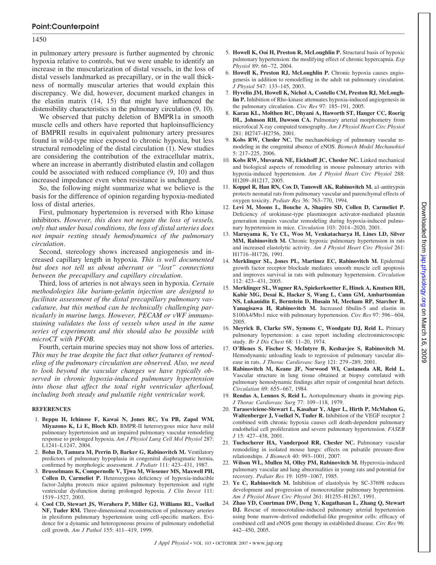### 1450

in pulmonary artery pressure is further augmented by chronic hypoxia relative to controls, but we were unable to identify an increase in the muscularization of distal vessels, in the loss of distal vessels landmarked as precapillary, or in the wall thickness of normally muscular arteries that would explain this discrepancy. We did, however, document marked changes in the elastin matrix (14, 15) that might have influenced the distensibility characteristics in the pulmonary circulation (9, 10).

We observed that patchy deletion of BMPR1a in smooth muscle cells and others have reported that haploinsufficiency of BMPRII results in equivalent pulmonary artery pressures found in wild-type mice exposed to chronic hypoxia, but less structural remodeling of the distal circulation (1). New studies are considering the contribution of the extracellular matrix, where an increase in aberrantly distributed elastin and collagen could be associated with reduced compliance (9, 10) and thus increased impedance even when resistance is unchanged.

So, the following might summarize what we believe is the basis for the difference of opinion regarding hypoxia-mediated loss of distal arteries.

First, pulmonary hypertension is reversed with Rho kinase inhibitors. *However, this does not negate the loss of vessels, only that under basal conditions, the loss of distal arteries does not impair resting steady hemodynamics of the pulmonary circulation*.

Second, stereology shows increased angiogenesis and increased capillary length in hypoxia. *This is well documented but does not tell us about aberrant or "lost" connections between the precapillary and capillary circulation*.

Third, loss of arteries is not always seen in hypoxia. *Certain methodologies like barium-gelatin injection are designed to facilitate assessment of the distal precapillary pulmonary vasculature, but this method can be technically challenging particularly in murine lungs. However, PECAM or vWF immunostaining validates the loss of vessels when used in the same series of experiments and this should also be possible with microCT with PFOB.*

Fourth, certain murine species may not show loss of arteries. *This may be true despite the fact that other features of remodeling of the pulmonary circulation are observed. Also, we need to look beyond the vascular changes we have typically observed in chronic hypoxia-induced pulmonary hypertension into those that affect the total right ventricular afterload, including both steady and pulsatile right ventricular work.*

#### **REFERENCES**

- 1. **Beppu H, Ichinose F, Kawai N, Jones RC, Yu PB, Zapol WM, Miyazono K, Li E, Bloch KD.** BMPR-II heterozygous mice have mild pulmonary hypertension and an impaired pulmonary vascular remodeling response to prolonged hypoxia. *Am J Physiol Lung Cell Mol Physiol* 287: L1241–L1247, 2004.
- 2. **Bohn D, Tamura M, Perrin D, Barker G, Rabinovitch M.** Ventilatory predictors of pulmonary hypoplasia in congenital diaphragmatic hernia, confirmed by morphologic assessment. *J Pediatr* 111: 423–431, 1987.
- 3. **Brusselmans K, Compernolle V, Tjwa M, Wiesener MS, Maxwell PH, Collen D, Carmeliet P.** Heterozygous deficiency of hypoxia-inducible factor-2alpha protects mice against pulmonary hypertension and right ventricular dysfunction during prolonged hypoxia. *J Clin Invest* 111: 1519 –1527, 2003.
- 4. **Cool CD, Stewart JS, Werahera P, Miller GJ, Williams RL, Voelkel NF, Tuder RM.** Three-dimensional reconstruction of pulmonary arteries in plexiform pulmonary hypertension using cell-specific markers. Evidence for a dynamic and heterogeneous process of pulmonary endothelial cell growth*. Am J Pathol* 155: 411– 419, 1999.
- 5. **Howell K, Ooi H, Preston R, McLoughlin P.** Structural basis of hypoxic pulmonary hypertension: the modifying effect of chronic hypercapnia. *Exp Physiol* 89: 66 –72, 2004.
- 6. **Howell K, Preston RJ, McLoughlin P.** Chronic hypoxia causes angiogenesis in addition to remodelling in the adult rat pulmonary circulation. *J Physiol* 547: 133–145, 2003.
- 7. **Hyvelin JM, Howell K, Nichol A, Costello CM, Preston RJ, McLoughlin P.** Inhibition of Rho-kinase attenuates hypoxia-induced angiogenesis in the pulmonary circulation. *Circ Res* 97: 185–191, 2005.
- 8. **Karau KL, Molthen RC, Dhyani A, Haworth ST, Hanger CC, Roerig DL, Johnson RH, Dawson CA.** Pulmonary arterial morphometry from microfocal X-ray computed tomography. *Am J Physiol Heart Circ Physiol* 281: H2747–H2756, 2001.
- 9. **Kobs RW, Chesler NC.** The mechanobiology of pulmonary vascular remodeling in the congenital absence of eNOS. *Biomech Model Mechanobiol* 5: 217–225, 2006.
- 10. **Kobs RW, Muvarak NE, Eickhoff JC, Chesler NC.** Linked mechanical and biological aspects of remodeling in mouse pulmonary arteries with hypoxia-induced hypertension. *Am J Physiol Heart Circ Physiol* 288: H1209 –H1217, 2005.
- 11. **Koppel R, Han RN, Cox D, Tanswell AK, Rabinovitch M.** a1-antitrypsin protects neonatal rats from pulmonary vascular and parenchymal effects of oxygen toxicity. *Pediatr Res* 36: 763–770, 1994.
- 12. **Levi M, Moons L, Bouche A, Shapiro SD, Collen D, Carmeliet P.** Deficiency of urokinase-type plasminogen activator-mediated plasmin generation impairs vascular remodeling during hypoxia-induced pulmonary hypertension in mice. *Circulation* 103: 2014 –2020, 2001.
- 13. **Maruyama K, Ye CL, Woo M, Venkatacharya H, Lines LD, Silver MM, Rabinovitch M.** Chronic hypoxic pulmonary hypertension in rats and increased elastolytic activity. *Am J Physiol Heart Circ Physiol* 261: H1716 –H1726, 1991.
- 14. **Merklinger SL, Jones PL, Martinez EC, Rabinovitch M.** Epidermal growth factor receptor blockade mediates smooth muscle cell apoptosis and improves survival in rats with pulmonary hypertension. *Circulation*  $112 \cdot 423 - 431$ , 2005.
- 15. **Merklinger SL, Wagner RA, Spiekerkoetter E, Hinek A, Knutsen RH, Kabir MG, Desai K, Hacker S, Wang L, Cann GM, Ambartsumian NS, Lukanidin E, Bernstein D, Husain M, Mecham RP, Starcher B, Yanagisawa H, Rabinovitch M.** Increased fibulin-5 and elastin in S100A4/Mts1 mice with pulmonary hypertension. *Circ Res* 97: 596 – 604, 2005.
- 16. **Meyrick B, Clarke SW, Symons C, Woodgate DJ, Reid L.** Primary pulmonary hypertension: a case report including electronmicroscopic study. *Br J Dis Chest* 68: 11–20, 1974.
- 17. **O'Blenes S, Fischer S, McIntyre B, Keshavjee S, Rabinovitch M.** Hemodynamic unloading leads to regression of pulmonary vascular disease in rats. *J Thorac Cardiovasc Surg* 121: 279 –289, 2001.
- 18. **Rabinovitch M, Keane JF, Norwood WI, Castaneda AR, Reid L.** Vascular structure in lung tissue obtained at biopsy correlated with pulmonary hemodynamic findings after repair of congenital heart defects. *Circulation* 69: 655– 667, 1984.
- 19. **Rendas A, Lennox S, Reid L.** Aortopulmonary shunts in growing pigs. *J Thorac Cardiovasc Surg* 77: 109 –118, 1979.
- 20. **Taraseviciene-Stewart L, Kasahar Y, Alger L, Hirth P, McMahon G, Waltenberger J, Voelkel N, Tuder R.** Inhibition of the VEGF receptor 2 combined with chronic hypoxia causes cell death-dependent pulmonary endothelial cell proliferation and severe pulmonary hypertension. *FASEB J* 15: 427– 438, 2001.
- 21. **Tuchscherer HA, Vanderpool RR, Chesler NC.** Pulmonary vascular remodeling in isolated mouse lungs: effects on pulsatile pressure-flow relationships. *J Biomech* 40: 993–1001, 2007.
- 22. **Wilson WL, Mullen M, Olley PM, Rabinovitch M.** Hyperoxia-induced pulmonary vascular and lung abnormalities in young rats and potential for recovery. *Pediatr Res* 19: 1059 –1067, 1985.
- 23. **Ye C, Rabinovitch M.** Inhibition of elastolysis by SC-37698 reduces development and progression of monocrotaline pulmonary hypertension. *Am J Physiol Heart Circ Physiol* 261: H1255–H1267, 1991.
- 24. **Zhao YD, Courtman DW, Deng Y, Kugathasan L, Zhang Q, Stewart DJ.** Rescue of monocrotaline-induced pulmonary arterial hypertension using bone marrow-derived endothelial-like progenitor cells: efficacy of combined cell and eNOS gene therapy in established disease. *Circ Res* 96: 442– 450, 2005.